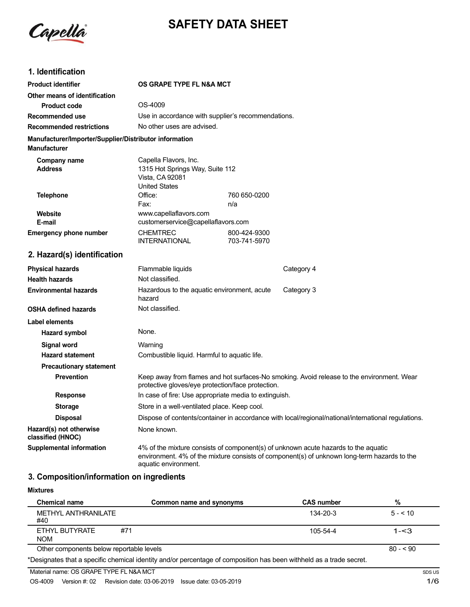

# **SAFETY DATA SHEET**

# **1. Identification**

| <b>Product identifier</b>                                                     | OS GRAPE TYPE FL N&A MCT                                                                            |                              |                                                                                                                                                                                   |
|-------------------------------------------------------------------------------|-----------------------------------------------------------------------------------------------------|------------------------------|-----------------------------------------------------------------------------------------------------------------------------------------------------------------------------------|
| Other means of identification                                                 |                                                                                                     |                              |                                                                                                                                                                                   |
| <b>Product code</b>                                                           | OS-4009                                                                                             |                              |                                                                                                                                                                                   |
| Recommended use                                                               | Use in accordance with supplier's recommendations.                                                  |                              |                                                                                                                                                                                   |
| <b>Recommended restrictions</b>                                               | No other uses are advised.                                                                          |                              |                                                                                                                                                                                   |
| Manufacturer/Importer/Supplier/Distributor information<br><b>Manufacturer</b> |                                                                                                     |                              |                                                                                                                                                                                   |
| Company name<br><b>Address</b>                                                | Capella Flavors, Inc.<br>1315 Hot Springs Way, Suite 112<br>Vista, CA 92081<br><b>United States</b> |                              |                                                                                                                                                                                   |
| <b>Telephone</b>                                                              | Office:                                                                                             | 760 650-0200                 |                                                                                                                                                                                   |
|                                                                               | Fax:                                                                                                | n/a                          |                                                                                                                                                                                   |
| Website<br>E-mail                                                             | www.capellaflavors.com<br>customerservice@capellaflavors.com                                        |                              |                                                                                                                                                                                   |
| <b>Emergency phone number</b>                                                 | <b>CHEMTREC</b><br><b>INTERNATIONAL</b>                                                             | 800-424-9300<br>703-741-5970 |                                                                                                                                                                                   |
| 2. Hazard(s) identification                                                   |                                                                                                     |                              |                                                                                                                                                                                   |
| <b>Physical hazards</b>                                                       | Flammable liquids                                                                                   |                              | Category 4                                                                                                                                                                        |
| <b>Health hazards</b>                                                         | Not classified.                                                                                     |                              |                                                                                                                                                                                   |
| <b>Environmental hazards</b>                                                  | Hazardous to the aquatic environment, acute<br>hazard                                               |                              | Category 3                                                                                                                                                                        |
| <b>OSHA defined hazards</b>                                                   | Not classified.                                                                                     |                              |                                                                                                                                                                                   |
| <b>Label elements</b>                                                         |                                                                                                     |                              |                                                                                                                                                                                   |
| Hazard symbol                                                                 | None.                                                                                               |                              |                                                                                                                                                                                   |
| <b>Signal word</b>                                                            | Warning                                                                                             |                              |                                                                                                                                                                                   |
| <b>Hazard statement</b>                                                       | Combustible liquid. Harmful to aquatic life.                                                        |                              |                                                                                                                                                                                   |
| <b>Precautionary statement</b>                                                |                                                                                                     |                              |                                                                                                                                                                                   |
| <b>Prevention</b>                                                             | protective gloves/eye protection/face protection.                                                   |                              | Keep away from flames and hot surfaces-No smoking. Avoid release to the environment. Wear                                                                                         |
| <b>Response</b>                                                               | In case of fire: Use appropriate media to extinguish.                                               |                              |                                                                                                                                                                                   |
| <b>Storage</b>                                                                | Store in a well-ventilated place. Keep cool.                                                        |                              |                                                                                                                                                                                   |
| <b>Disposal</b>                                                               |                                                                                                     |                              | Dispose of contents/container in accordance with local/regional/national/international regulations.                                                                               |
| Hazard(s) not otherwise<br>classified (HNOC)                                  | None known.                                                                                         |                              |                                                                                                                                                                                   |
| <b>Supplemental information</b>                                               |                                                                                                     |                              | 4% of the mixture consists of component(s) of unknown acute hazards to the aquatic<br>environment. 4% of the mixture consists of component(s) of unknown long-term hazards to the |

### **3. Composition/information on ingredients**

#### **Mixtures**

| <b>Chemical name</b>                     | Common name and synonyms | <b>CAS number</b> | %         |
|------------------------------------------|--------------------------|-------------------|-----------|
| METHYL ANTHRANILATE<br>#40               |                          | 134-20-3          | $5 - 510$ |
| #71<br>ETHYL BUTYRATE<br><b>NOM</b>      |                          | $105 - 54 - 4$    | $1 - 3$   |
| Other components below reportable levels |                          |                   | $80 - 50$ |

\*Designates that a specific chemical identity and/or percentage of composition has been withheld as a trade secret.

aquatic environment.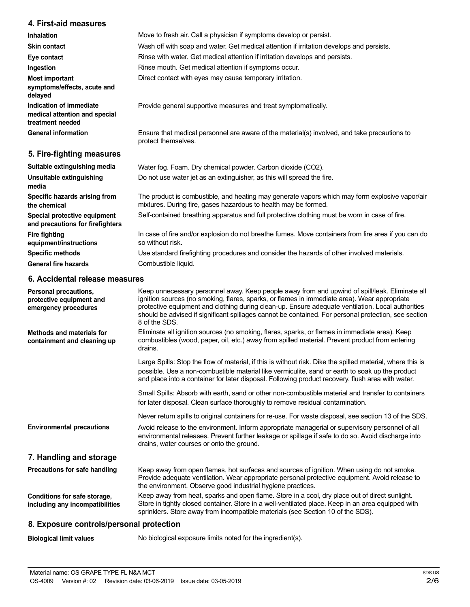### **4. First-aid measures**

| <b>Inhalation</b>                                                            | Move to fresh air. Call a physician if symptoms develop or persist.                                                 |
|------------------------------------------------------------------------------|---------------------------------------------------------------------------------------------------------------------|
| <b>Skin contact</b>                                                          | Wash off with soap and water. Get medical attention if irritation develops and persists.                            |
| Eye contact                                                                  | Rinse with water. Get medical attention if irritation develops and persists.                                        |
| Ingestion                                                                    | Rinse mouth. Get medical attention if symptoms occur.                                                               |
| <b>Most important</b><br>symptoms/effects, acute and<br>delayed              | Direct contact with eyes may cause temporary irritation.                                                            |
| Indication of immediate<br>medical attention and special<br>treatment needed | Provide general supportive measures and treat symptomatically.                                                      |
| <b>General information</b>                                                   | Ensure that medical personnel are aware of the material(s) involved, and take precautions to<br>protect themselves. |
| 5. Fire-fighting measures                                                    |                                                                                                                     |
| Suitable extinguishing media                                                 | Water fog. Foam. Dry chemical powder. Carbon dioxide (CO2).                                                         |
| Unsuitable extinguishing<br>media                                            | Do not use water jet as an extinguisher, as this will spread the fire.                                              |

**Specific hazards arising from the chemical Special protective equipment and precautions for firefighters Fire fighting equipment/instructions Specific methods General fire hazards** The product is combustible, and heating may generate vapors which may form explosive vapor/air mixtures. During fire, gases hazardous to health may be formed. Self-contained breathing apparatus and full protective clothing must be worn in case of fire. In case of fire and/or explosion do not breathe fumes. Move containers from fire area if you can do so without risk. Use standard firefighting procedures and consider the hazards of other involved materials. Combustible liquid.

### **6. Accidental release measures**

| Personal precautions,<br>protective equipment and<br>emergency procedures | Keep unnecessary personnel away. Keep people away from and upwind of spill/leak. Eliminate all<br>ignition sources (no smoking, flares, sparks, or flames in immediate area). Wear appropriate<br>protective equipment and clothing during clean-up. Ensure adequate ventilation. Local authorities<br>should be advised if significant spillages cannot be contained. For personal protection, see section<br>8 of the SDS. |
|---------------------------------------------------------------------------|------------------------------------------------------------------------------------------------------------------------------------------------------------------------------------------------------------------------------------------------------------------------------------------------------------------------------------------------------------------------------------------------------------------------------|
| Methods and materials for<br>containment and cleaning up                  | Eliminate all ignition sources (no smoking, flares, sparks, or flames in immediate area). Keep<br>combustibles (wood, paper, oil, etc.) away from spilled material. Prevent product from entering<br>drains.                                                                                                                                                                                                                 |
|                                                                           | Large Spills: Stop the flow of material, if this is without risk. Dike the spilled material, where this is<br>possible. Use a non-combustible material like vermiculite, sand or earth to soak up the product<br>and place into a container for later disposal. Following product recovery, flush area with water.                                                                                                           |
|                                                                           | Small Spills: Absorb with earth, sand or other non-combustible material and transfer to containers<br>for later disposal. Clean surface thoroughly to remove residual contamination.                                                                                                                                                                                                                                         |
|                                                                           | Never return spills to original containers for re-use. For waste disposal, see section 13 of the SDS.                                                                                                                                                                                                                                                                                                                        |
| <b>Environmental precautions</b>                                          | Avoid release to the environment. Inform appropriate managerial or supervisory personnel of all<br>environmental releases. Prevent further leakage or spillage if safe to do so. Avoid discharge into<br>drains, water courses or onto the ground.                                                                                                                                                                           |
| 7. Handling and storage                                                   |                                                                                                                                                                                                                                                                                                                                                                                                                              |
| Precautions for safe handling                                             | Keep away from open flames, hot surfaces and sources of ignition. When using do not smoke.<br>Provide adequate ventilation. Wear appropriate personal protective equipment. Avoid release to<br>the environment. Observe good industrial hygiene practices.                                                                                                                                                                  |
| Conditions for safe storage,<br>including any incompatibilities           | Keep away from heat, sparks and open flame. Store in a cool, dry place out of direct sunlight.<br>Store in tightly closed container. Store in a well-ventilated place. Keep in an area equipped with<br>sprinklers. Store away from incompatible materials (see Section 10 of the SDS).                                                                                                                                      |
| 8. Exposure controls/personal protection                                  |                                                                                                                                                                                                                                                                                                                                                                                                                              |

**Biological limit values** No biological exposure limits noted for the ingredient(s).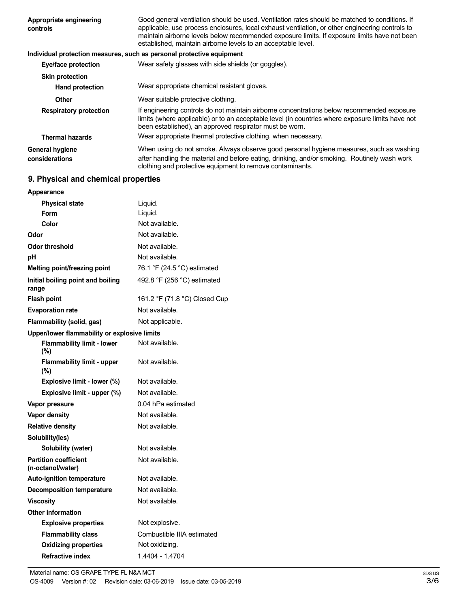| Appropriate engineering<br>controls      | Good general ventilation should be used. Ventilation rates should be matched to conditions. If<br>applicable, use process enclosures, local exhaust ventilation, or other engineering controls to<br>maintain airborne levels below recommended exposure limits. If exposure limits have not been<br>established, maintain airborne levels to an acceptable level. |
|------------------------------------------|--------------------------------------------------------------------------------------------------------------------------------------------------------------------------------------------------------------------------------------------------------------------------------------------------------------------------------------------------------------------|
|                                          | Individual protection measures, such as personal protective equipment                                                                                                                                                                                                                                                                                              |
| <b>Eye/face protection</b>               | Wear safety glasses with side shields (or goggles).                                                                                                                                                                                                                                                                                                                |
| <b>Skin protection</b>                   |                                                                                                                                                                                                                                                                                                                                                                    |
| <b>Hand protection</b>                   | Wear appropriate chemical resistant gloves.                                                                                                                                                                                                                                                                                                                        |
| Other                                    | Wear suitable protective clothing.                                                                                                                                                                                                                                                                                                                                 |
| <b>Respiratory protection</b>            | If engineering controls do not maintain airborne concentrations below recommended exposure<br>limits (where applicable) or to an acceptable level (in countries where exposure limits have not<br>been established), an approved respirator must be worn.                                                                                                          |
| <b>Thermal hazards</b>                   | Wear appropriate thermal protective clothing, when necessary.                                                                                                                                                                                                                                                                                                      |
| <b>General hygiene</b><br>considerations | When using do not smoke. Always observe good personal hygiene measures, such as washing<br>after handling the material and before eating, drinking, and/or smoking. Routinely wash work<br>clothing and protective equipment to remove contaminants.                                                                                                               |

# **9. Physical and chemical properties**

| <b>Appearance</b>                                 |                               |
|---------------------------------------------------|-------------------------------|
| <b>Physical state</b>                             | Liquid.                       |
| Form                                              | Liquid.                       |
| Color                                             | Not available.                |
| Odor                                              | Not available.                |
| <b>Odor threshold</b>                             | Not available.                |
| рH                                                | Not available.                |
| Melting point/freezing point                      | 76.1 °F (24.5 °C) estimated   |
| Initial boiling point and boiling<br>range        | 492.8 °F (256 °C) estimated   |
| <b>Flash point</b>                                | 161.2 °F (71.8 °C) Closed Cup |
| <b>Evaporation rate</b>                           | Not available.                |
| Flammability (solid, gas)                         | Not applicable.               |
| Upper/lower flammability or explosive limits      |                               |
| <b>Flammability limit - lower</b><br>$(\%)$       | Not available.                |
| <b>Flammability limit - upper</b><br>(%)          | Not available.                |
| Explosive limit - lower (%)                       | Not available.                |
| Explosive limit - upper (%)                       | Not available.                |
| Vapor pressure                                    | 0.04 hPa estimated            |
| Vapor density                                     | Not available.                |
| <b>Relative density</b>                           | Not available.                |
| Solubility(ies)                                   |                               |
| Solubility (water)                                | Not available.                |
| <b>Partition coefficient</b><br>(n-octanol/water) | Not available.                |
| <b>Auto-ignition temperature</b>                  | Not available.                |
| <b>Decomposition temperature</b>                  | Not available.                |
| Viscositv                                         | Not available.                |
| <b>Other information</b>                          |                               |
| <b>Explosive properties</b>                       | Not explosive.                |
| <b>Flammability class</b>                         | Combustible IIIA estimated    |
| <b>Oxidizing properties</b>                       | Not oxidizing.                |
| <b>Refractive index</b>                           | 1.4404 - 1.4704               |
|                                                   |                               |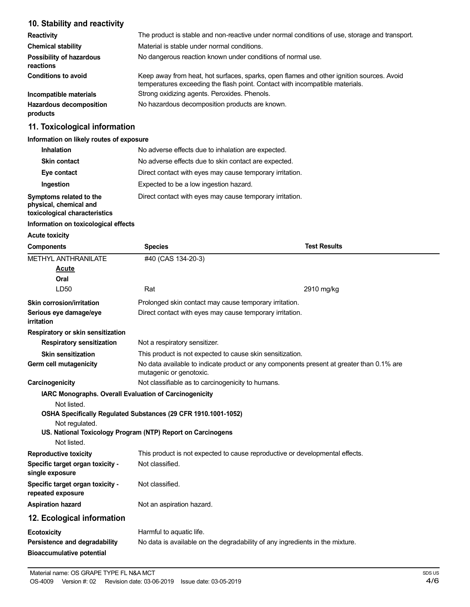# **10. Stability and reactivity**

| <b>Reactivity</b>                            | The product is stable and non-reactive under normal conditions of use, storage and transport.                                                                            |
|----------------------------------------------|--------------------------------------------------------------------------------------------------------------------------------------------------------------------------|
| <b>Chemical stability</b>                    | Material is stable under normal conditions.                                                                                                                              |
| <b>Possibility of hazardous</b><br>reactions | No dangerous reaction known under conditions of normal use.                                                                                                              |
| <b>Conditions to avoid</b>                   | Keep away from heat, hot surfaces, sparks, open flames and other ignition sources. Avoid<br>temperatures exceeding the flash point. Contact with incompatible materials. |
| Incompatible materials                       | Strong oxidizing agents. Peroxides. Phenols.                                                                                                                             |
| <b>Hazardous decomposition</b><br>products   | No hazardous decomposition products are known.                                                                                                                           |

# **11. Toxicological information**

#### **Information on likely routes of exposure**

| <b>Inhalation</b>                                 | No adverse effects due to inhalation are expected.       |
|---------------------------------------------------|----------------------------------------------------------|
| <b>Skin contact</b>                               | No adverse effects due to skin contact are expected.     |
| Eye contact                                       | Direct contact with eyes may cause temporary irritation. |
| Ingestion                                         | Expected to be a low ingestion hazard.                   |
| Symptoms related to the<br>physical, chemical and | Direct contact with eyes may cause temporary irritation. |

**toxicological characteristics**

## **Information on toxicological effects**

**Acute toxicity**

| <b>Components</b>                                                             | <b>Species</b>                                                                                                      | <b>Test Results</b> |
|-------------------------------------------------------------------------------|---------------------------------------------------------------------------------------------------------------------|---------------------|
| <b>METHYL ANTHRANILATE</b>                                                    | #40 (CAS 134-20-3)                                                                                                  |                     |
| <u>Acute</u>                                                                  |                                                                                                                     |                     |
| Oral                                                                          |                                                                                                                     |                     |
| LD50                                                                          | Rat                                                                                                                 | 2910 mg/kg          |
| <b>Skin corrosion/irritation</b>                                              | Prolonged skin contact may cause temporary irritation.                                                              |                     |
| Serious eye damage/eye<br>irritation                                          | Direct contact with eyes may cause temporary irritation.                                                            |                     |
| Respiratory or skin sensitization                                             |                                                                                                                     |                     |
| <b>Respiratory sensitization</b>                                              | Not a respiratory sensitizer.                                                                                       |                     |
| <b>Skin sensitization</b>                                                     | This product is not expected to cause skin sensitization.                                                           |                     |
| Germ cell mutagenicity                                                        | No data available to indicate product or any components present at greater than 0.1% are<br>mutagenic or genotoxic. |                     |
| Carcinogenicity                                                               | Not classifiable as to carcinogenicity to humans.                                                                   |                     |
| IARC Monographs. Overall Evaluation of Carcinogenicity                        |                                                                                                                     |                     |
| Not listed.                                                                   | OSHA Specifically Regulated Substances (29 CFR 1910.1001-1052)                                                      |                     |
| Not regulated.<br>US. National Toxicology Program (NTP) Report on Carcinogens |                                                                                                                     |                     |
| Not listed.                                                                   |                                                                                                                     |                     |
| <b>Reproductive toxicity</b>                                                  | This product is not expected to cause reproductive or developmental effects.                                        |                     |
| Specific target organ toxicity -<br>single exposure                           | Not classified.                                                                                                     |                     |
| Specific target organ toxicity -<br>repeated exposure                         | Not classified.                                                                                                     |                     |
| <b>Aspiration hazard</b>                                                      | Not an aspiration hazard.                                                                                           |                     |
| 12. Ecological information                                                    |                                                                                                                     |                     |
| <b>Ecotoxicity</b>                                                            | Harmful to aquatic life.                                                                                            |                     |
| Persistence and degradability<br><b>Bioaccumulative potential</b>             | No data is available on the degradability of any ingredients in the mixture.                                        |                     |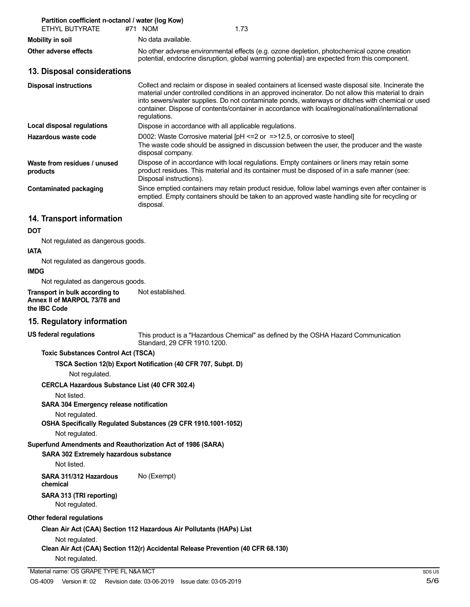| Partition coefficient n-octanol / water (log Kow)<br>ETHYL BUTYRATE                                | #71 NOM<br>1.73                                                                                                                                                                                                                                                                                                                                                                                                                      |  |
|----------------------------------------------------------------------------------------------------|--------------------------------------------------------------------------------------------------------------------------------------------------------------------------------------------------------------------------------------------------------------------------------------------------------------------------------------------------------------------------------------------------------------------------------------|--|
| <b>Mobility in soil</b>                                                                            | No data available.                                                                                                                                                                                                                                                                                                                                                                                                                   |  |
| Other adverse effects                                                                              | No other adverse environmental effects (e.g. ozone depletion, photochemical ozone creation<br>potential, endocrine disruption, global warming potential) are expected from this component.                                                                                                                                                                                                                                           |  |
| 13. Disposal considerations                                                                        |                                                                                                                                                                                                                                                                                                                                                                                                                                      |  |
| <b>Disposal instructions</b>                                                                       | Collect and reclaim or dispose in sealed containers at licensed waste disposal site. Incinerate the<br>material under controlled conditions in an approved incinerator. Do not allow this material to drain<br>into sewers/water supplies. Do not contaminate ponds, waterways or ditches with chemical or used<br>container. Dispose of contents/container in accordance with local/regional/national/international<br>regulations. |  |
| <b>Local disposal regulations</b>                                                                  | Dispose in accordance with all applicable regulations.                                                                                                                                                                                                                                                                                                                                                                               |  |
| Hazardous waste code                                                                               | D002: Waste Corrosive material $[PH \le 2$ or $= > 12.5$ , or corrosive to steel<br>The waste code should be assigned in discussion between the user, the producer and the waste<br>disposal company.                                                                                                                                                                                                                                |  |
| Waste from residues / unused<br>products                                                           | Dispose of in accordance with local regulations. Empty containers or liners may retain some<br>product residues. This material and its container must be disposed of in a safe manner (see:<br>Disposal instructions).                                                                                                                                                                                                               |  |
| <b>Contaminated packaging</b>                                                                      | Since emptied containers may retain product residue, follow label warnings even after container is<br>emptied. Empty containers should be taken to an approved waste handling site for recycling or<br>disposal.                                                                                                                                                                                                                     |  |
| 14. Transport information                                                                          |                                                                                                                                                                                                                                                                                                                                                                                                                                      |  |
| <b>DOT</b>                                                                                         |                                                                                                                                                                                                                                                                                                                                                                                                                                      |  |
| Not regulated as dangerous goods.                                                                  |                                                                                                                                                                                                                                                                                                                                                                                                                                      |  |
| <b>IATA</b>                                                                                        |                                                                                                                                                                                                                                                                                                                                                                                                                                      |  |
| Not regulated as dangerous goods.<br><b>IMDG</b>                                                   |                                                                                                                                                                                                                                                                                                                                                                                                                                      |  |
| Not regulated as dangerous goods.                                                                  |                                                                                                                                                                                                                                                                                                                                                                                                                                      |  |
| Transport in bulk according to<br>Annex II of MARPOL 73/78 and<br>the IBC Code                     | Not established.                                                                                                                                                                                                                                                                                                                                                                                                                     |  |
| 15. Regulatory information                                                                         |                                                                                                                                                                                                                                                                                                                                                                                                                                      |  |
| <b>US federal regulations</b>                                                                      | This product is a "Hazardous Chemical" as defined by the OSHA Hazard Communication<br>Standard, 29 CFR 1910.1200.                                                                                                                                                                                                                                                                                                                    |  |
| <b>Toxic Substances Control Act (TSCA)</b>                                                         |                                                                                                                                                                                                                                                                                                                                                                                                                                      |  |
|                                                                                                    | TSCA Section 12(b) Export Notification (40 CFR 707, Subpt. D)                                                                                                                                                                                                                                                                                                                                                                        |  |
| Not regulated.                                                                                     |                                                                                                                                                                                                                                                                                                                                                                                                                                      |  |
| <b>CERCLA Hazardous Substance List (40 CFR 302.4)</b>                                              |                                                                                                                                                                                                                                                                                                                                                                                                                                      |  |
| Not listed.<br>SARA 304 Emergency release notification                                             |                                                                                                                                                                                                                                                                                                                                                                                                                                      |  |
| Not regulated.<br>OSHA Specifically Regulated Substances (29 CFR 1910.1001-1052)<br>Not regulated. |                                                                                                                                                                                                                                                                                                                                                                                                                                      |  |
| Superfund Amendments and Reauthorization Act of 1986 (SARA)                                        |                                                                                                                                                                                                                                                                                                                                                                                                                                      |  |
| SARA 302 Extremely hazardous substance<br>Not listed.                                              |                                                                                                                                                                                                                                                                                                                                                                                                                                      |  |
| SARA 311/312 Hazardous<br>chemical                                                                 | No (Exempt)                                                                                                                                                                                                                                                                                                                                                                                                                          |  |

# **SARA 313 (TRI reporting)**

Not regulated.

## **Other federal regulations**

**Clean Air Act (CAA) Section 112 Hazardous Air Pollutants (HAPs) List**

Not regulated.

**Clean Air Act (CAA) Section 112(r) Accidental Release Prevention (40 CFR 68.130)**